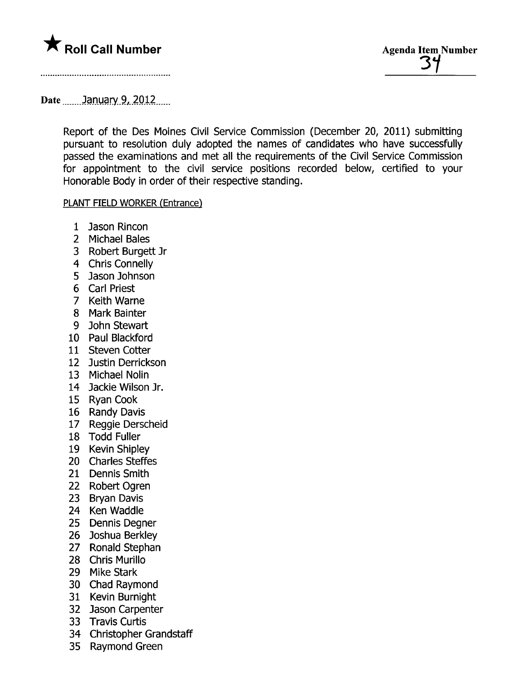

## Date  $\qquad$  January 9, 2012

Report of the Des Moines Civil Service Commission (December 20, 2011) submitting pursuant to resolution duly adopted the names of candidates who have successfully passed the examinations and met all the requirements of the Civil Service Commission for appointment to the civil service positions recorded below, certified to your Honorable Body in order of their respective standing.

## PLANT FIELD WORKER (Entrance)

- 1 Jason Rincon
- 2 Michael Bales
- 3 Robert Burgett Jr
- 4 Chris Connelly
- 5 Jason Johnson
- 6 Carl Priest
- 7 Keith Warne
- 8 Mark Bainter
- 9 John Stewart
- 10 Paul Blackford
- 11 Steven Cotter
- 12 Justin Derrickson
- 13 Michael Nolin
- 14 Jackie Wilson Jr.
- 15 Ryan Cook
- 16 Randy Davis
- 17 Reggie Derscheid
- 18 Todd Fuller
- 19 Kevin Shipley
- 20 Charles Steffes
- 21 Dennis Smith
- 22 Robert Ogren
- 23 Bryan Davis
- 24 Ken Waddle
- 25 Dennis Degner
- 26 Joshua Berkley
- 27 Ronald Stephan
- 28 Chris Murilo
- 29 Mike Stark
- 30 Chad Raymond
- 31 Kevin Burnight
- 32 Jason Carpenter
- 33 Travis Curtis
- 34 Christopher Grandstaff
- 35 Raymond Green